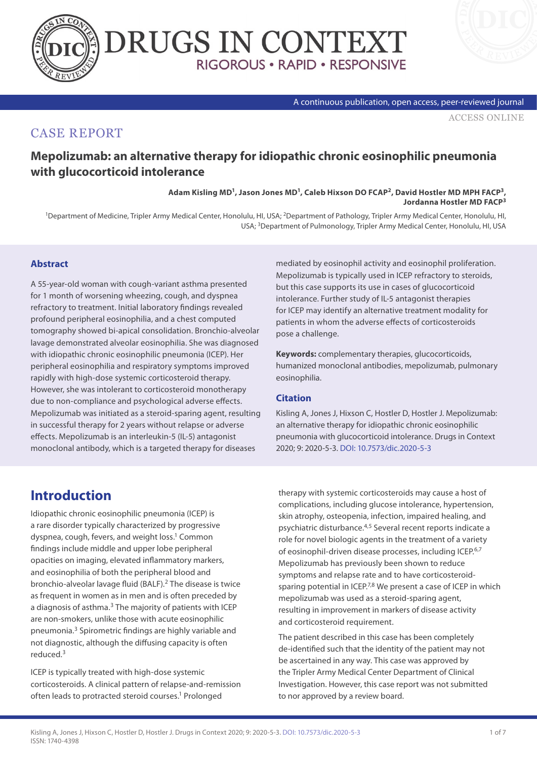



#### A continuous publication, open access, peer-reviewed journal

[ACCESS ONLINE](https://www.drugsincontext.com/mepolizumab:-an-alternative-therapy-for-idiopathic-chronic-eosinophilic-pneumonia-with-glucocorticoid-intolerance)

### CASE REPORT

### **Mepolizumab: an alternative therapy for idiopathic chronic eosinophilic pneumonia with glucocorticoid intolerance**

**Adam Kisling MD1, Jason Jones MD1, Caleb Hixson DO FCAP2, David Hostler MD MPH FACP3, Jordanna Hostler MD FACP3**

1Department of Medicine, Tripler Army Medical Center, Honolulu, HI, USA; 2Department of Pathology, Tripler Army Medical Center, Honolulu, HI, USA; 3Department of Pulmonology, Tripler Army Medical Center, Honolulu, HI, USA

### **Abstract**

A 55-year-old woman with cough-variant asthma presented for 1 month of worsening wheezing, cough, and dyspnea refractory to treatment. Initial laboratory findings revealed profound peripheral eosinophilia, and a chest computed tomography showed bi-apical consolidation. Bronchio-alveolar lavage demonstrated alveolar eosinophilia. She was diagnosed with idiopathic chronic eosinophilic pneumonia (ICEP). Her peripheral eosinophilia and respiratory symptoms improved rapidly with high-dose systemic corticosteroid therapy. However, she was intolerant to corticosteroid monotherapy due to non-compliance and psychological adverse effects. Mepolizumab was initiated as a steroid-sparing agent, resulting in successful therapy for 2 years without relapse or adverse effects. Mepolizumab is an interleukin-5 (IL-5) antagonist monoclonal antibody, which is a targeted therapy for diseases

mediated by eosinophil activity and eosinophil proliferation. Mepolizumab is typically used in ICEP refractory to steroids, but this case supports its use in cases of glucocorticoid intolerance. Further study of IL-5 antagonist therapies for ICEP may identify an alternative treatment modality for patients in whom the adverse effects of corticosteroids pose a challenge.

**Keywords:** complementary therapies, glucocorticoids, humanized monoclonal antibodies, mepolizumab, pulmonary eosinophilia.

#### **Citation**

Kisling A, Jones J, Hixson C, Hostler D, Hostler J. Mepolizumab: an alternative therapy for idiopathic chronic eosinophilic pneumonia with glucocorticoid intolerance. Drugs in Context 2020; 9: 2020-5-3. [DOI: 10.7573/dic.2020-5-3](https://doi.org/10.7573/dic.2020-5-3)

## **Introduction**

Idiopathic chronic eosinophilic pneumonia (ICEP) is a rare disorder typically characterized by progressive dyspnea, cough, fevers, and weight loss.<sup>1</sup> Common findings include middle and upper lobe peripheral opacities on imaging, elevated inflammatory markers, and eosinophilia of both the peripheral blood and bronchio-alveolar lavage fluid (BALF).<sup>2</sup> The disease is twice as frequent in women as in men and is often preceded by a diagnosis of asthma.<sup>3</sup> The majority of patients with ICEP are non-smokers, unlike those with acute eosinophilic pneumonia.3 Spirometric findings are highly variable and not diagnostic, although the diffusing capacity is often reduced.3

ICEP is typically treated with high-dose systemic corticosteroids. A clinical pattern of relapse-and-remission often leads to protracted steroid courses.<sup>1</sup> Prolonged

therapy with systemic corticosteroids may cause a host of complications, including glucose intolerance, hypertension, skin atrophy, osteopenia, infection, impaired healing, and psychiatric disturbance.4,5 Several recent reports indicate a role for novel biologic agents in the treatment of a variety of eosinophil-driven disease processes, including ICEP.<sup>6,7</sup> Mepolizumab has previously been shown to reduce symptoms and relapse rate and to have corticosteroidsparing potential in ICEP.<sup>7,8</sup> We present a case of ICEP in which mepolizumab was used as a steroid-sparing agent, resulting in improvement in markers of disease activity and corticosteroid requirement.

The patient described in this case has been completely de-identified such that the identity of the patient may not be ascertained in any way. This case was approved by the Tripler Army Medical Center Department of Clinical Investigation. However, this case report was not submitted to nor approved by a review board.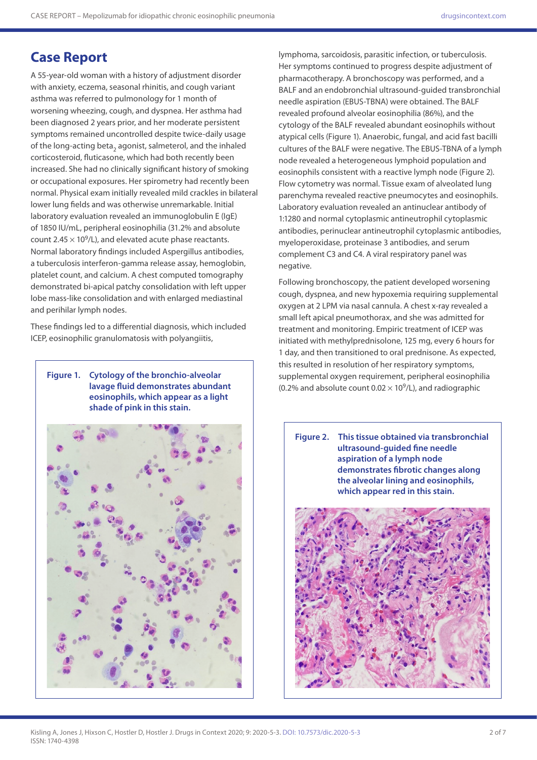# **Case Report**

A 55-year-old woman with a history of adjustment disorder with anxiety, eczema, seasonal rhinitis, and cough variant asthma was referred to pulmonology for 1 month of worsening wheezing, cough, and dyspnea. Her asthma had been diagnosed 2 years prior, and her moderate persistent symptoms remained uncontrolled despite twice-daily usage of the long-acting beta<sub>2</sub> agonist, salmeterol, and the inhaled corticosteroid, fluticasone, which had both recently been increased. She had no clinically significant history of smoking or occupational exposures. Her spirometry had recently been normal. Physical exam initially revealed mild crackles in bilateral lower lung fields and was otherwise unremarkable. Initial laboratory evaluation revealed an immunoglobulin E (IgE) of 1850 IU/mL, peripheral eosinophilia (31.2% and absolute count 2.45  $\times$  10<sup>9</sup>/L), and elevated acute phase reactants. Normal laboratory findings included Aspergillus antibodies, a tuberculosis interferon-gamma release assay, hemoglobin, platelet count, and calcium. A chest computed tomography demonstrated bi-apical patchy consolidation with left upper lobe mass-like consolidation and with enlarged mediastinal and perihilar lymph nodes.

These findings led to a differential diagnosis, which included ICEP, eosinophilic granulomatosis with polyangiitis,

**Figure 1. Cytology of the bronchio-alveolar lavage fluid demonstrates abundant eosinophils, which appear as a light shade of pink in this stain.**



lymphoma, sarcoidosis, parasitic infection, or tuberculosis. Her symptoms continued to progress despite adjustment of pharmacotherapy. A bronchoscopy was performed, and a BALF and an endobronchial ultrasound-guided transbronchial needle aspiration (EBUS-TBNA) were obtained. The BALF revealed profound alveolar eosinophilia (86%), and the cytology of the BALF revealed abundant eosinophils without atypical cells (Figure 1). Anaerobic, fungal, and acid fast bacilli cultures of the BALF were negative. The EBUS-TBNA of a lymph node revealed a heterogeneous lymphoid population and eosinophils consistent with a reactive lymph node (Figure 2). Flow cytometry was normal. Tissue exam of alveolated lung parenchyma revealed reactive pneumocytes and eosinophils. Laboratory evaluation revealed an antinuclear antibody of 1:1280 and normal cytoplasmic antineutrophil cytoplasmic antibodies, perinuclear antineutrophil cytoplasmic antibodies, myeloperoxidase, proteinase 3 antibodies, and serum complement C3 and C4. A viral respiratory panel was negative.

Following bronchoscopy, the patient developed worsening cough, dyspnea, and new hypoxemia requiring supplemental oxygen at 2 LPM via nasal cannula. A chest x-ray revealed a small left apical pneumothorax, and she was admitted for treatment and monitoring. Empiric treatment of ICEP was initiated with methylprednisolone, 125 mg, every 6 hours for 1 day, and then transitioned to oral prednisone. As expected, this resulted in resolution of her respiratory symptoms, supplemental oxygen requirement, peripheral eosinophilia (0.2% and absolute count  $0.02 \times 10^9$ /L), and radiographic

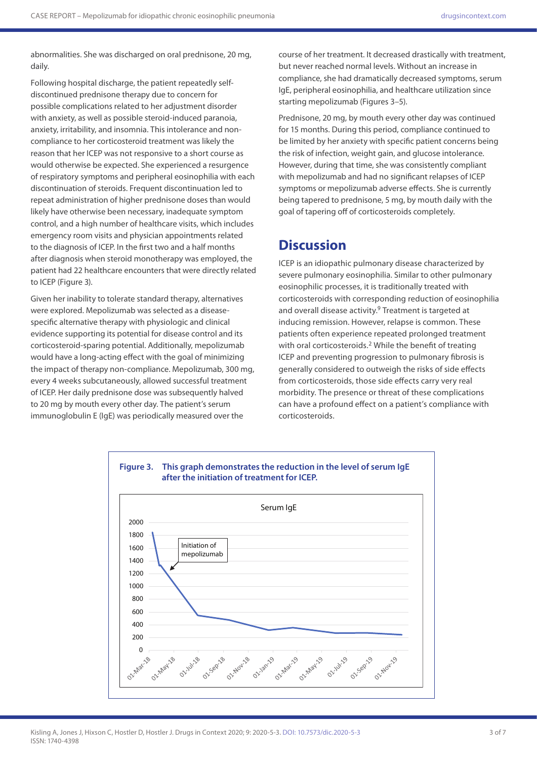abnormalities. She was discharged on oral prednisone, 20 mg, daily.

Following hospital discharge, the patient repeatedly selfdiscontinued prednisone therapy due to concern for possible complications related to her adjustment disorder with anxiety, as well as possible steroid-induced paranoia, anxiety, irritability, and insomnia. This intolerance and noncompliance to her corticosteroid treatment was likely the reason that her ICEP was not responsive to a short course as would otherwise be expected. She experienced a resurgence of respiratory symptoms and peripheral eosinophilia with each discontinuation of steroids. Frequent discontinuation led to repeat administration of higher prednisone doses than would likely have otherwise been necessary, inadequate symptom control, and a high number of healthcare visits, which includes emergency room visits and physician appointments related to the diagnosis of ICEP. In the first two and a half months after diagnosis when steroid monotherapy was employed, the patient had 22 healthcare encounters that were directly related to ICEP (Figure 3).

Given her inability to tolerate standard therapy, alternatives were explored. Mepolizumab was selected as a diseasespecific alternative therapy with physiologic and clinical evidence supporting its potential for disease control and its corticosteroid-sparing potential. Additionally, mepolizumab would have a long-acting effect with the goal of minimizing the impact of therapy non-compliance. Mepolizumab, 300 mg, every 4 weeks subcutaneously, allowed successful treatment of ICEP. Her daily prednisone dose was subsequently halved to 20 mg by mouth every other day. The patient's serum immunoglobulin E (IgE) was periodically measured over the

course of her treatment. It decreased drastically with treatment, but never reached normal levels. Without an increase in compliance, she had dramatically decreased symptoms, serum IgE, peripheral eosinophilia, and healthcare utilization since starting mepolizumab (Figures 3–5).

Prednisone, 20 mg, by mouth every other day was continued for 15 months. During this period, compliance continued to be limited by her anxiety with specific patient concerns being the risk of infection, weight gain, and glucose intolerance. However, during that time, she was consistently compliant with mepolizumab and had no significant relapses of ICEP symptoms or mepolizumab adverse effects. She is currently being tapered to prednisone, 5 mg, by mouth daily with the goal of tapering off of corticosteroids completely.

## **Discussion**

ICEP is an idiopathic pulmonary disease characterized by severe pulmonary eosinophilia. Similar to other pulmonary eosinophilic processes, it is traditionally treated with corticosteroids with corresponding reduction of eosinophilia and overall disease activity.<sup>9</sup> Treatment is targeted at inducing remission. However, relapse is common. These patients often experience repeated prolonged treatment with oral corticosteroids.<sup>2</sup> While the benefit of treating ICEP and preventing progression to pulmonary fibrosis is generally considered to outweigh the risks of side effects from corticosteroids, those side effects carry very real morbidity. The presence or threat of these complications can have a profound effect on a patient's compliance with corticosteroids.

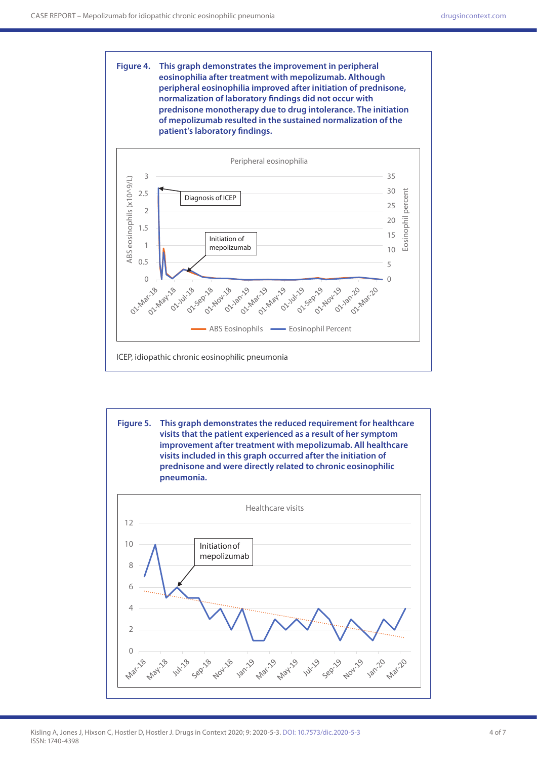#### **Figure 4. This graph demonstrates the improvement in peripheral eosinophilia after treatment with mepolizumab. Although peripheral eosinophilia improved after initiation of prednisone, normalization of laboratory findings did not occur with prednisone monotherapy due to drug intolerance. The initiation of mepolizumab resulted in the sustained normalization of the patient's laboratory findings.**



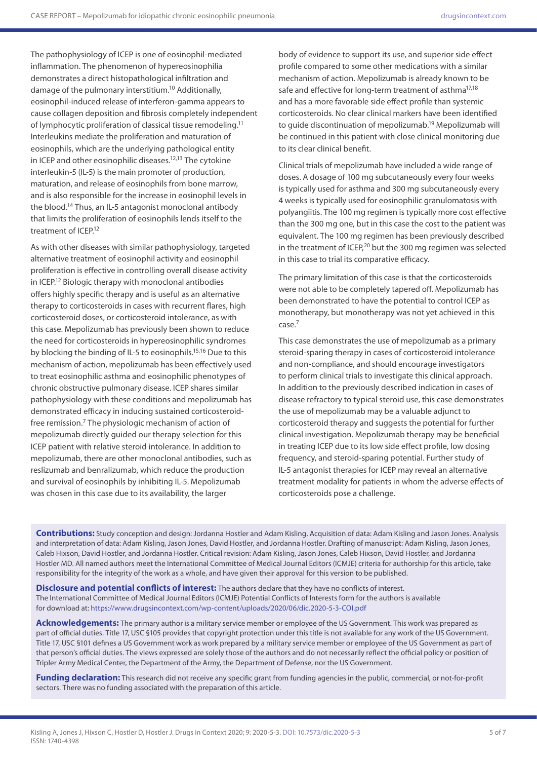The pathophysiology of ICEP is one of eosinophil-mediated inflammation. The phenomenon of hypereosinophilia demonstrates a direct histopathological infiltration and damage of the pulmonary interstitium.10 Additionally, eosinophil-induced release of interferon-gamma appears to cause collagen deposition and fibrosis completely independent of lymphocytic proliferation of classical tissue remodeling.11 Interleukins mediate the proliferation and maturation of eosinophils, which are the underlying pathological entity in ICEP and other eosinophilic diseases.<sup>12,13</sup> The cytokine interleukin-5 (IL-5) is the main promoter of production, maturation, and release of eosinophils from bone marrow, and is also responsible for the increase in eosinophil levels in the blood.14 Thus, an IL-5 antagonist monoclonal antibody that limits the proliferation of eosinophils lends itself to the treatment of ICEP.12

As with other diseases with similar pathophysiology, targeted alternative treatment of eosinophil activity and eosinophil proliferation is effective in controlling overall disease activity in ICEP.12 Biologic therapy with monoclonal antibodies offers highly specific therapy and is useful as an alternative therapy to corticosteroids in cases with recurrent flares, high corticosteroid doses, or corticosteroid intolerance, as with this case. Mepolizumab has previously been shown to reduce the need for corticosteroids in hypereosinophilic syndromes by blocking the binding of IL-5 to eosinophils.15,16 Due to this mechanism of action, mepolizumab has been effectively used to treat eosinophilic asthma and eosinophilic phenotypes of chronic obstructive pulmonary disease. ICEP shares similar pathophysiology with these conditions and mepolizumab has demonstrated efficacy in inducing sustained corticosteroidfree remission.<sup>7</sup> The physiologic mechanism of action of mepolizumab directly guided our therapy selection for this ICEP patient with relative steroid intolerance. In addition to mepolizumab, there are other monoclonal antibodies, such as reslizumab and benralizumab, which reduce the production and survival of eosinophils by inhibiting IL-5. Mepolizumab was chosen in this case due to its availability, the larger

body of evidence to support its use, and superior side effect profile compared to some other medications with a similar mechanism of action. Mepolizumab is already known to be safe and effective for long-term treatment of asthma<sup>17,18</sup> and has a more favorable side effect profile than systemic corticosteroids. No clear clinical markers have been identified to guide discontinuation of mepolizumab.19 Mepolizumab will be continued in this patient with close clinical monitoring due to its clear clinical benefit.

Clinical trials of mepolizumab have included a wide range of doses. A dosage of 100 mg subcutaneously every four weeks is typically used for asthma and 300 mg subcutaneously every 4 weeks is typically used for eosinophilic granulomatosis with polyangiitis. The 100 mg regimen is typically more cost effective than the 300 mg one, but in this case the cost to the patient was equivalent. The 100 mg regimen has been previously described in the treatment of ICEP,<sup>20</sup> but the 300 mg regimen was selected in this case to trial its comparative efficacy.

The primary limitation of this case is that the corticosteroids were not able to be completely tapered off. Mepolizumab has been demonstrated to have the potential to control ICEP as monotherapy, but monotherapy was not yet achieved in this case.7

This case demonstrates the use of mepolizumab as a primary steroid-sparing therapy in cases of corticosteroid intolerance and non-compliance, and should encourage investigators to perform clinical trials to investigate this clinical approach. In addition to the previously described indication in cases of disease refractory to typical steroid use, this case demonstrates the use of mepolizumab may be a valuable adjunct to corticosteroid therapy and suggests the potential for further clinical investigation. Mepolizumab therapy may be beneficial in treating ICEP due to its low side effect profile, low dosing frequency, and steroid-sparing potential. Further study of IL-5 antagonist therapies for ICEP may reveal an alternative treatment modality for patients in whom the adverse effects of corticosteroids pose a challenge.

**Contributions:** Study conception and design: Jordanna Hostler and Adam Kisling. Acquisition of data: Adam Kisling and Jason Jones. Analysis and interpretation of data: Adam Kisling, Jason Jones, David Hostler, and Jordanna Hostler. Drafting of manuscript: Adam Kisling, Jason Jones, Caleb Hixson, David Hostler, and Jordanna Hostler. Critical revision: Adam Kisling, Jason Jones, Caleb Hixson, David Hostler, and Jordanna Hostler MD. All named authors meet the International Committee of Medical Journal Editors (ICMJE) criteria for authorship for this article, take responsibility for the integrity of the work as a whole, and have given their approval for this version to be published.

**Disclosure and potential conflicts of interest:** The authors declare that they have no conflicts of interest. The International Committee of Medical Journal Editors (ICMJE) Potential Conflicts of Interests form for the authors is available for download at: <https://www.drugsincontext.com/wp-content/uploads/2020/06/dic.2020-5-3-COI.pdf>

**Acknowledgements:** The primary author is a military service member or employee of the US Government. This work was prepared as part of official duties. Title 17, USC §105 provides that copyright protection under this title is not available for any work of the US Government. Title 17, USC §101 defines a US Government work as work prepared by a military service member or employee of the US Government as part of that person's official duties. The views expressed are solely those of the authors and do not necessarily reflect the official policy or position of Tripler Army Medical Center, the Department of the Army, the Department of Defense, nor the US Government.

**Funding declaration:** This research did not receive any specific grant from funding agencies in the public, commercial, or not-for-profit sectors. There was no funding associated with the preparation of this article.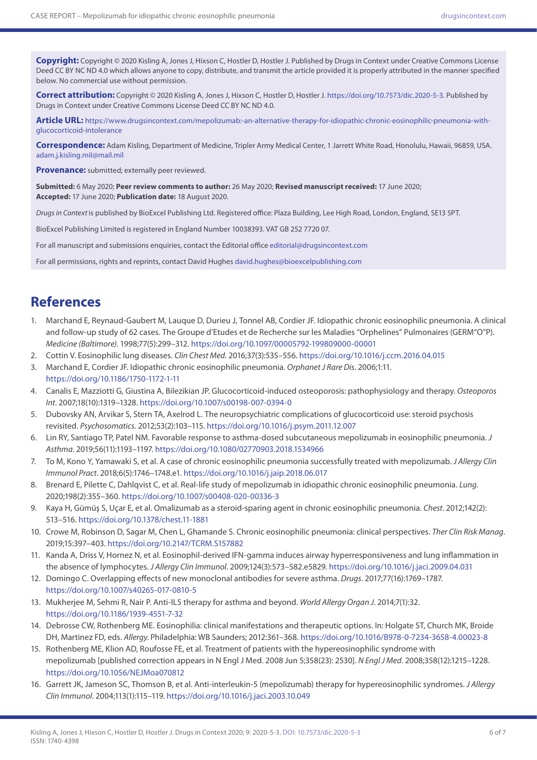**Copyright:** Copyright © 2020 Kisling A, Jones J, Hixson C, Hostler D, Hostler J. Published by Drugs in Context under Creative Commons License Deed CC BY NC ND 4.0 which allows anyone to copy, distribute, and transmit the article provided it is properly attributed in the manner specified below. No commercial use without permission.

**Correct attribution:** Copyright © 2020 Kisling A, Jones J, Hixson C, Hostler D, Hostler J. <https://doi.org/10.7573/dic.2020-5-3>. Published by Drugs in Context under Creative Commons License Deed CC BY NC ND 4.0.

**Article URL:** [https://www.drugsincontext.com/mepolizumab:-an-alternative-therapy-for-idiopathic-chronic-eosinophilic-pneumonia-with](https://www.drugsincontext.com/mepolizumab:-an-alternative-therapy-for-idiopathic-chronic-eosinophilic-pneumonia-with-glucocorticoid-intolerance)[glucocorticoid-intolerance](https://www.drugsincontext.com/mepolizumab:-an-alternative-therapy-for-idiopathic-chronic-eosinophilic-pneumonia-with-glucocorticoid-intolerance)

**Correspondence:** Adam Kisling, Department of Medicine, Tripler Army Medical Center, 1 Jarrett White Road, Honolulu, Hawaii, 96859, USA. [adam.j.kisling.mil@mail.mil](mailto:adam.j.kisling.mil@mail.mil)

**Provenance:** submitted; externally peer reviewed.

**Submitted:** 6 May 2020; **Peer review comments to author:** 26 May 2020; **Revised manuscript received:** 17 June 2020; **Accepted:** 17 June 2020; **Publication date:** 18 August 2020.

*Drugs in Context* is published by BioExcel Publishing Ltd. Registered office: Plaza Building, Lee High Road, London, England, SE13 5PT.

BioExcel Publishing Limited is registered in England Number 10038393. VAT GB 252 7720 07.

For all manuscript and submissions enquiries, contact the Editorial office [editorial@drugsincontext.com](mailto:editorial@drugsincontext.com)

For all permissions, rights and reprints, contact David Hughes [david.hughes@bioexcelpublishing.com](mailto:david.hughes@bioexcelpublishing.com)

### **References**

- 1. Marchand E, Reynaud-Gaubert M, Lauque D, Durieu J, Tonnel AB, Cordier JF. Idiopathic chronic eosinophilic pneumonia. A clinical and follow-up study of 62 cases. The Groupe d'Etudes et de Recherche sur les Maladies "Orphelines" Pulmonaires (GERM"O"P). *Medicine (Baltimore)*. 1998;77(5):299–312. <https://doi.org/10.1097/00005792-199809000-00001>
- 2. Cottin V. Eosinophilic lung diseases. *Clin Chest Med*. 2016;37(3):535–556. <https://doi.org/10.1016/j.ccm.2016.04.015>
- 3. Marchand E, Cordier JF. Idiopathic chronic eosinophilic pneumonia. *Orphanet J Rare Dis*. 2006;1:11. <https://doi.org/10.1186/1750-1172-1-11>
- 4. Canalis E, Mazziotti G, Giustina A, Bilezikian JP. Glucocorticoid-induced osteoporosis: pathophysiology and therapy. *Osteoporos Int*. 2007;18(10):1319–1328.<https://doi.org/10.1007/s00198-007-0394-0>
- 5. Dubovsky AN, Arvikar S, Stern TA, Axelrod L. The neuropsychiatric complications of glucocorticoid use: steroid psychosis revisited. *Psychosomatics*. 2012;53(2):103–115.<https://doi.org/10.1016/j.psym.2011.12.007>
- 6. Lin RY, Santiago TP, Patel NM. Favorable response to asthma-dosed subcutaneous mepolizumab in eosinophilic pneumonia. *J Asthma*. 2019;56(11):1193–1197.<https://doi.org/10.1080/02770903.2018.1534966>
- 7. To M, Kono Y, Yamawaki S, et al. A case of chronic eosinophilic pneumonia successfully treated with mepolizumab. *J Allergy Clin Immunol Pract*. 2018;6(5):1746–1748.e1. <https://doi.org/10.1016/j.jaip.2018.06.017>
- 8. Brenard E, Pilette C, Dahlqvist C, et al. Real-life study of mepolizumab in idiopathic chronic eosinophilic pneumonia. *Lung*. 2020;198(2):355–360. <https://doi.org/10.1007/s00408-020-00336-3>
- 9. Kaya H, Gümüş S, Uçar E, et al. Omalizumab as a steroid-sparing agent in chronic eosinophilic pneumonia. *Chest*. 2012;142(2): 513–516.<https://doi.org/10.1378/chest.11-1881>
- 10. Crowe M, Robinson D, Sagar M, Chen L, Ghamande S. Chronic eosinophilic pneumonia: clinical perspectives. *Ther Clin Risk Manag*. 2019;15:397–403.<https://doi.org/10.2147/TCRM.S157882>
- 11. Kanda A, Driss V, Hornez N, et al. Eosinophil-derived IFN-gamma induces airway hyperresponsiveness and lung inflammation in the absence of lymphocytes. *J Allergy Clin Immunol*. 2009;124(3):573–582.e5829. <https://doi.org/10.1016/j.jaci.2009.04.031>
- 12. Domingo C. Overlapping effects of new monoclonal antibodies for severe asthma. *Drugs*. 2017;77(16):1769–1787. <https://doi.org/10.1007/s40265-017-0810-5>
- 13. Mukherjee M, Sehmi R, Nair P. Anti-IL5 therapy for asthma and beyond. *World Allergy Organ J*. 2014;7(1):32. <https://doi.org/10.1186/1939-4551-7-32>
- 14. Debrosse CW, Rothenberg ME. Eosinophilia: clinical manifestations and therapeutic options. In: Holgate ST, Church MK, Broide DH, Martinez FD, eds. *Allergy*. Philadelphia: WB Saunders; 2012:361–368.<https://doi.org/10.1016/B978-0-7234-3658-4.00023-8>
- 15. Rothenberg ME, Klion AD, Roufosse FE, et al. Treatment of patients with the hypereosinophilic syndrome with mepolizumab [published correction appears in N Engl J Med. 2008 Jun 5;358(23): 2530]. *N Engl J Med*. 2008;358(12):1215–1228. <https://doi.org/10.1056/NEJMoa070812>
- 16. Garrett JK, Jameson SC, Thomson B, et al. Anti-interleukin-5 (mepolizumab) therapy for hypereosinophilic syndromes. *J Allergy Clin Immunol*. 2004;113(1):115–119. <https://doi.org/10.1016/j.jaci.2003.10.049>